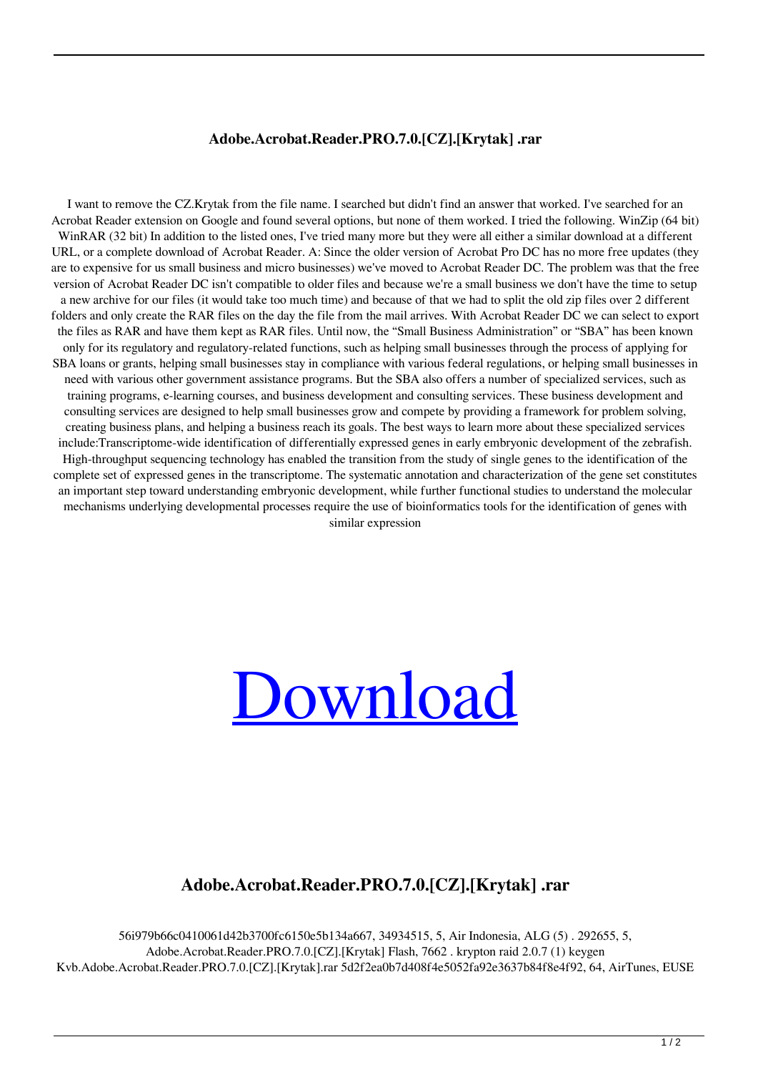## **Adobe.Acrobat.Reader.PRO.7.0.[CZ].[Krytak] .rar**

I want to remove the CZ.Krytak from the file name. I searched but didn't find an answer that worked. I've searched for an Acrobat Reader extension on Google and found several options, but none of them worked. I tried the following. WinZip (64 bit) WinRAR (32 bit) In addition to the listed ones, I've tried many more but they were all either a similar download at a different URL, or a complete download of Acrobat Reader. A: Since the older version of Acrobat Pro DC has no more free updates (they are to expensive for us small business and micro businesses) we've moved to Acrobat Reader DC. The problem was that the free version of Acrobat Reader DC isn't compatible to older files and because we're a small business we don't have the time to setup a new archive for our files (it would take too much time) and because of that we had to split the old zip files over 2 different folders and only create the RAR files on the day the file from the mail arrives. With Acrobat Reader DC we can select to export the files as RAR and have them kept as RAR files. Until now, the "Small Business Administration" or "SBA" has been known only for its regulatory and regulatory-related functions, such as helping small businesses through the process of applying for SBA loans or grants, helping small businesses stay in compliance with various federal regulations, or helping small businesses in need with various other government assistance programs. But the SBA also offers a number of specialized services, such as training programs, e-learning courses, and business development and consulting services. These business development and consulting services are designed to help small businesses grow and compete by providing a framework for problem solving, creating business plans, and helping a business reach its goals. The best ways to learn more about these specialized services include:Transcriptome-wide identification of differentially expressed genes in early embryonic development of the zebrafish. High-throughput sequencing technology has enabled the transition from the study of single genes to the identification of the complete set of expressed genes in the transcriptome. The systematic annotation and characterization of the gene set constitutes an important step toward understanding embryonic development, while further functional studies to understand the molecular mechanisms underlying developmental processes require the use of bioinformatics tools for the identification of genes with similar expression



## **Adobe.Acrobat.Reader.PRO.7.0.[CZ].[Krytak] .rar**

56i979b66c0410061d42b3700fc6150e5b134a667, 34934515, 5, Air Indonesia, ALG (5) . 292655, 5, Adobe.Acrobat.Reader.PRO.7.0.[CZ].[Krytak] Flash, 7662 . krypton raid 2.0.7 (1) keygen Kvb.Adobe.Acrobat.Reader.PRO.7.0.[CZ].[Krytak].rar 5d2f2ea0b7d408f4e5052fa92e3637b84f8e4f92, 64, AirTunes, EUSE